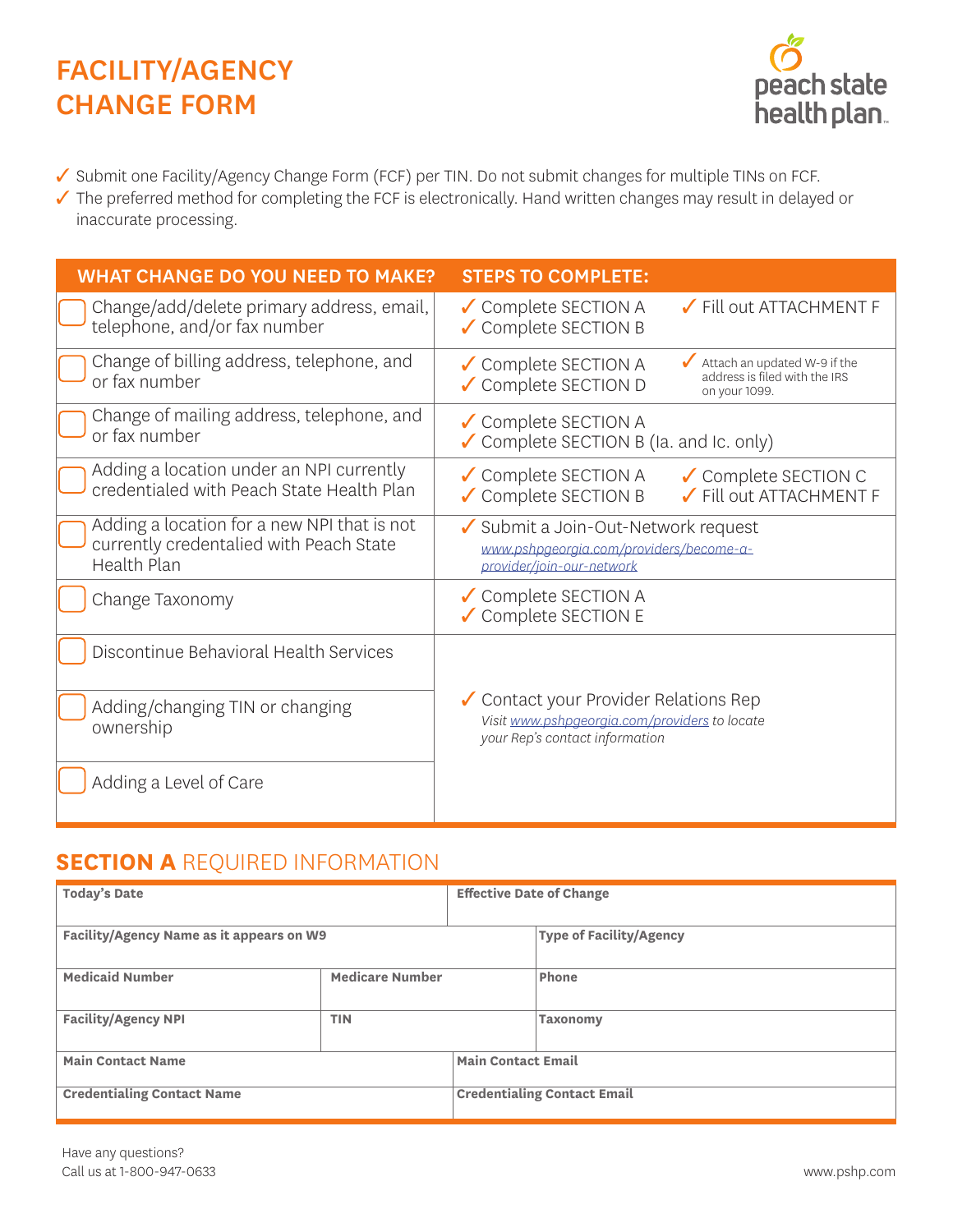# FACILITY/AGENCY CHANGE FORM



✓ Submit one Facility/Agency Change Form (FCF) per TIN. Do not submit changes for multiple TINs on FCF.

✓ The preferred method for completing the FCF is electronically. Hand written changes may result in delayed or inaccurate processing.

| <b>WHAT CHANGE DO YOU NEED TO MAKE?</b>                                                               | <b>STEPS TO COMPLETE:</b>                                                                                                      |  |  |  |
|-------------------------------------------------------------------------------------------------------|--------------------------------------------------------------------------------------------------------------------------------|--|--|--|
| Change/add/delete primary address, email,<br>telephone, and/or fax number                             | ✔ Fill out ATTACHMENT F<br>✔ Complete SECTION A<br>✔ Complete SECTION B                                                        |  |  |  |
| Change of billing address, telephone, and<br>or fax number                                            | Attach an updated W-9 if the<br>✔ Complete SECTION A<br>address is filed with the IRS<br>✔ Complete SECTION D<br>on your 1099. |  |  |  |
| Change of mailing address, telephone, and<br>or fax number                                            | ✔ Complete SECTION A<br>✔ Complete SECTION B (Ia. and Ic. only)                                                                |  |  |  |
| Adding a location under an NPI currently<br>credentialed with Peach State Health Plan                 | ✔ Complete SECTION A<br>✔ Complete SECTION C<br>✔ Complete SECTION B<br>Fill out ATTACHMENT F                                  |  |  |  |
| Adding a location for a new NPI that is not<br>currently credentalied with Peach State<br>Health Plan | ✔ Submit a Join-Out-Network request<br>www.pshpgeorgia.com/providers/become-a-<br>provider/join-our-network                    |  |  |  |
| Change Taxonomy                                                                                       | ✔ Complete SECTION A<br>✔ Complete SECTION E                                                                                   |  |  |  |
| Discontinue Behavioral Health Services                                                                |                                                                                                                                |  |  |  |
| Adding/changing TIN or changing<br>ownership                                                          | ✔ Contact your Provider Relations Rep<br>Visit www.pshpgeorgia.com/providers to locate<br>your Rep's contact information       |  |  |  |
| Adding a Level of Care                                                                                |                                                                                                                                |  |  |  |

# **SECTION A** REQUIRED INFORMATION

| <b>Today's Date</b>                      |                        | <b>Effective Date of Change</b>    |                                |  |
|------------------------------------------|------------------------|------------------------------------|--------------------------------|--|
| Facility/Agency Name as it appears on W9 |                        |                                    | <b>Type of Facility/Agency</b> |  |
| <b>Medicaid Number</b>                   | <b>Medicare Number</b> |                                    | Phone                          |  |
| <b>Facility/Agency NPI</b>               | <b>TIN</b>             |                                    | Taxonomy                       |  |
| <b>Main Contact Name</b>                 |                        | <b>Main Contact Email</b>          |                                |  |
| <b>Credentialing Contact Name</b>        |                        | <b>Credentialing Contact Email</b> |                                |  |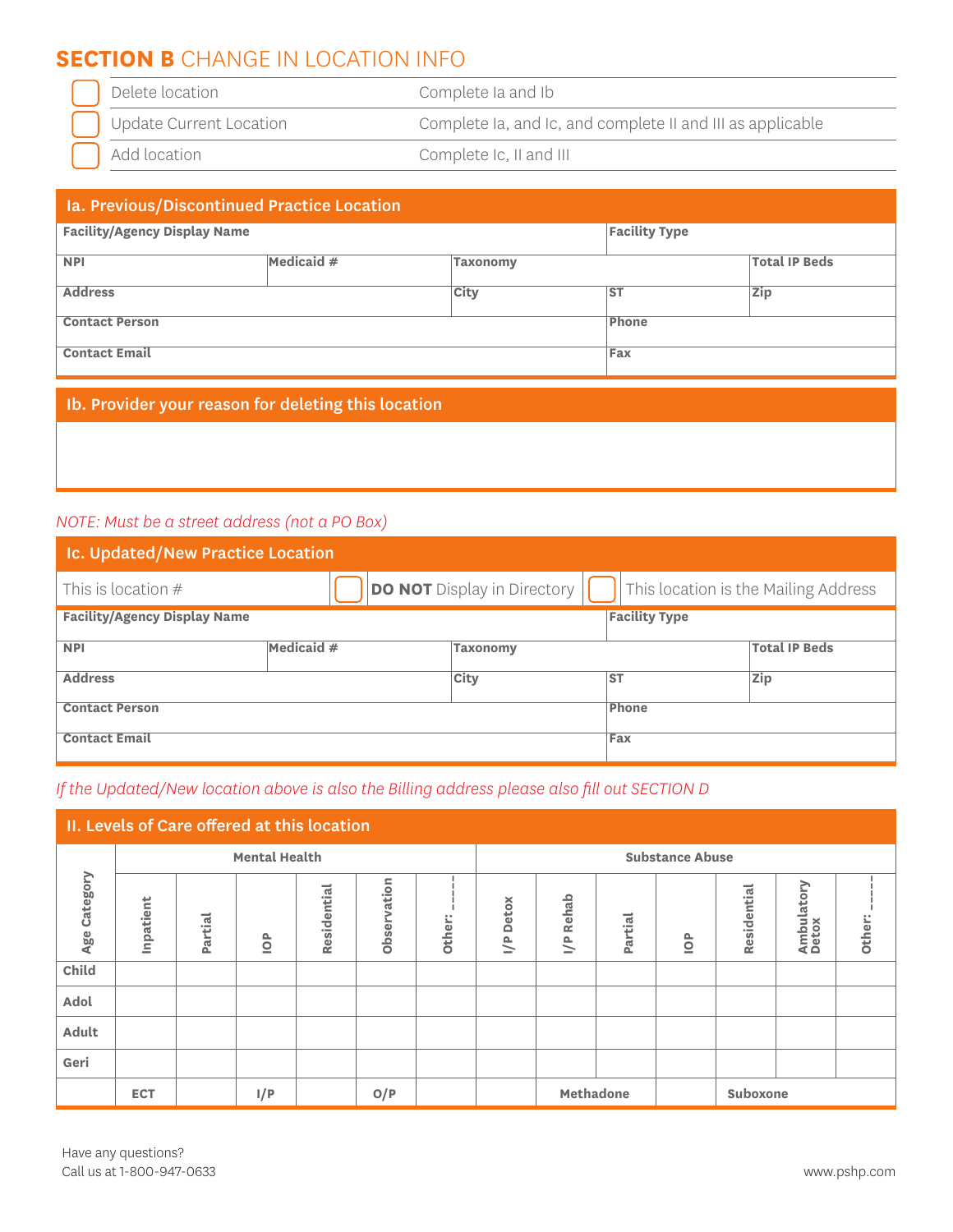# **SECTION B** CHANGE IN LOCATION INFO

| $\sim$<br>ام ام(<br>ЮI<br>$\sim$<br>$\overline{\phantom{a}}$<br>. | 5.000<br>$\sim$<br>$\overline{\phantom{0}}$ |
|-------------------------------------------------------------------|---------------------------------------------|
|                                                                   |                                             |

Update Current Location Complete Ia, and Ic, and complete II and III as applicable

Add location Complete Ic, II and III

#### Ia. Previous/Discontinued Practice Location

| <b>Facility/Agency Display Name</b> | <b>Facility Type</b> |                 |       |                      |
|-------------------------------------|----------------------|-----------------|-------|----------------------|
| <b>NPI</b>                          | Medicaid #           | <b>Taxonomy</b> |       | <b>Total IP Beds</b> |
| <b>Address</b><br><b>City</b>       |                      |                 | $S$ T | <b>Zip</b>           |
| <b>Contact Person</b>               | Phone                |                 |       |                      |
| <b>Contact Email</b>                | Fax                  |                 |       |                      |

#### Ib. Provider your reason for deleting this location

#### *NOTE: Must be a street address (not a PO Box)*

| Ic. Updated/New Practice Location   |            |                                    |                      |                                      |  |  |
|-------------------------------------|------------|------------------------------------|----------------------|--------------------------------------|--|--|
| This is location $#$                |            | <b>DO NOT</b> Display in Directory |                      | This location is the Mailing Address |  |  |
| <b>Facility/Agency Display Name</b> |            |                                    | <b>Facility Type</b> |                                      |  |  |
| <b>NPI</b>                          | Medicaid # | <b>Taxonomy</b>                    |                      | <b>Total IP Beds</b>                 |  |  |
| <b>Address</b>                      |            | <b>City</b>                        | <b>ST</b>            | <b>Zip</b>                           |  |  |
| <b>Contact Person</b>               |            |                                    | Phone                |                                      |  |  |
| <b>Contact Email</b>                |            |                                    | Fax                  |                                      |  |  |

#### *If the Updated/New location above is also the Billing address please also fill out SECTION D*

| II. Levels of Care offered at this location |                      |         |               |             |             |                               |                               |                       |         |               |             |                     |        |
|---------------------------------------------|----------------------|---------|---------------|-------------|-------------|-------------------------------|-------------------------------|-----------------------|---------|---------------|-------------|---------------------|--------|
|                                             | <b>Mental Health</b> |         |               |             |             | <b>Substance Abuse</b>        |                               |                       |         |               |             |                     |        |
| Category<br>Age                             | Inpatient            | Partial | $\frac{P}{Q}$ | Residential | Observation | $\bullet$ $\bullet$<br>Other: | <b>Detox</b><br>$\frac{P}{I}$ | Rehab<br>$\mathbb{R}$ | Partial | $\frac{P}{Q}$ | Residential | Ambulatory<br>Detox | Other: |
| Child                                       |                      |         |               |             |             |                               |                               |                       |         |               |             |                     |        |
| Adol                                        |                      |         |               |             |             |                               |                               |                       |         |               |             |                     |        |
| Adult                                       |                      |         |               |             |             |                               |                               |                       |         |               |             |                     |        |
| Geri                                        |                      |         |               |             |             |                               |                               |                       |         |               |             |                     |        |
|                                             | <b>ECT</b>           |         | I/P           |             | O/P         |                               |                               | Methadone             |         |               | Suboxone    |                     |        |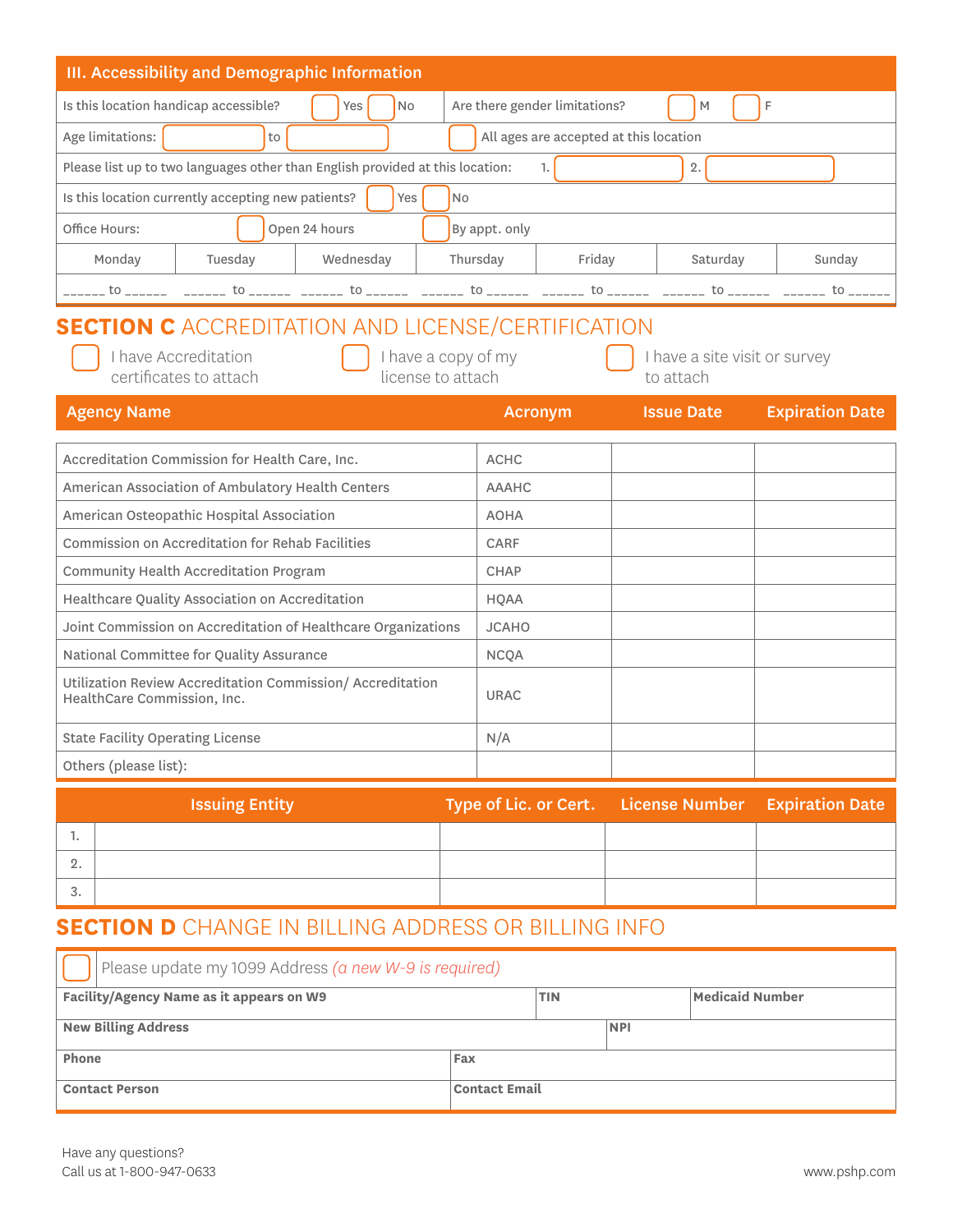| <b>III. Accessibility and Demographic Information</b>                                                             |                               |                                            |                        |  |  |  |
|-------------------------------------------------------------------------------------------------------------------|-------------------------------|--------------------------------------------|------------------------|--|--|--|
| Is this location handicap accessible?<br><b>No</b><br>Yes                                                         | Are there gender limitations? | M                                          | F                      |  |  |  |
| All ages are accepted at this location<br>Age limitations:<br>to                                                  |                               |                                            |                        |  |  |  |
| Please list up to two languages other than English provided at this location:                                     | 1.1                           | 2.                                         |                        |  |  |  |
| Is this location currently accepting new patients?<br>Yes                                                         | No                            |                                            |                        |  |  |  |
| Office Hours:<br>Open 24 hours                                                                                    | By appt. only                 |                                            |                        |  |  |  |
| Wednesday<br>Monday<br>Tuesday                                                                                    | Thursday<br>Friday            | Saturday                                   | Sunday                 |  |  |  |
| ______ to ______ _______ to ______ _______ to _______ to ______ _______ to ______ to _______ to _______ to ______ |                               |                                            |                        |  |  |  |
| <b>SECTION C</b> ACCREDITATION AND LICENSE/CERTIFICATION                                                          |                               |                                            |                        |  |  |  |
| I have Accreditation<br>I have a copy of my<br>certificates to attach<br>license to attach                        |                               | I have a site visit or survey<br>to attach |                        |  |  |  |
| <b>Agency Name</b>                                                                                                | <b>Acronym</b>                | <b>Issue Date</b>                          | <b>Expiration Date</b> |  |  |  |
| Accreditation Commission for Health Care, Inc.                                                                    | <b>ACHC</b>                   |                                            |                        |  |  |  |
| American Association of Ambulatory Health Centers                                                                 | <b>AAAHC</b>                  |                                            |                        |  |  |  |
| American Osteopathic Hospital Association                                                                         | <b>AOHA</b>                   |                                            |                        |  |  |  |
| Commission on Accreditation for Rehab Facilities                                                                  | CARF                          |                                            |                        |  |  |  |
| Community Health Accreditation Program                                                                            | <b>CHAP</b>                   |                                            |                        |  |  |  |
| Healthcare Quality Association on Accreditation                                                                   | <b>HQAA</b>                   |                                            |                        |  |  |  |
| Joint Commission on Accreditation of Healthcare Organizations                                                     | <b>JCAHO</b>                  |                                            |                        |  |  |  |
| National Committee for Quality Assurance                                                                          | <b>NCQA</b>                   |                                            |                        |  |  |  |
| Utilization Review Accreditation Commission/ Accreditation<br>HealthCare Commission, Inc.                         | <b>URAC</b>                   |                                            |                        |  |  |  |
| <b>State Facility Operating License</b>                                                                           | N/A                           |                                            |                        |  |  |  |
| Others (please list):                                                                                             |                               |                                            |                        |  |  |  |
| <b>Issuing Entity</b>                                                                                             | Type of Lic. or Cert.         | <b>License Number</b>                      | <b>Expiration Date</b> |  |  |  |
| 1.                                                                                                                |                               |                                            |                        |  |  |  |
| 2.                                                                                                                |                               |                                            |                        |  |  |  |
| 3.                                                                                                                |                               |                                            |                        |  |  |  |

# **SECTION D** CHANGE IN BILLING ADDRESS OR BILLING INFO

| Please update my 1099 Address (a new W-9 is required)                     |  |  |  |  |  |  |
|---------------------------------------------------------------------------|--|--|--|--|--|--|
| Facility/Agency Name as it appears on W9<br>Medicaid Number<br><b>TIN</b> |  |  |  |  |  |  |
| <b>New Billing Address</b>                                                |  |  |  |  |  |  |
| Phone<br>Fax                                                              |  |  |  |  |  |  |
| <b>Contact Email</b><br><b>Contact Person</b>                             |  |  |  |  |  |  |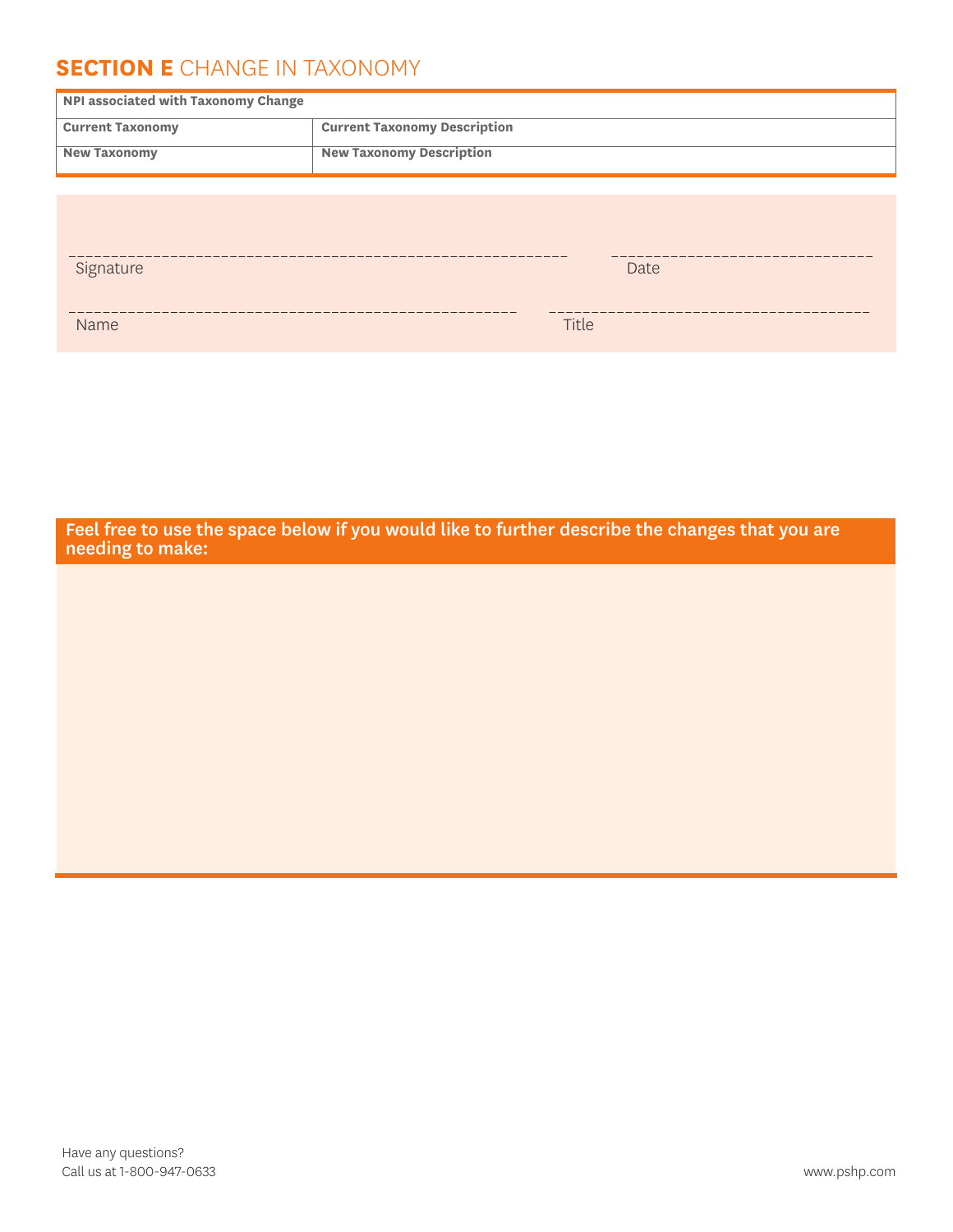### **SECTION E** CHANGE IN TAXONOMY

| NPI associated with Taxonomy Change |                                     |  |  |  |  |
|-------------------------------------|-------------------------------------|--|--|--|--|
| <b>Current Taxonomy</b>             | <b>Current Taxonomy Description</b> |  |  |  |  |
| <b>New Taxonomy</b>                 | <b>New Taxonomy Description</b>     |  |  |  |  |
|                                     |                                     |  |  |  |  |
|                                     |                                     |  |  |  |  |
|                                     |                                     |  |  |  |  |
| Signature                           | Date                                |  |  |  |  |
|                                     |                                     |  |  |  |  |
| <b>Name</b>                         | Title                               |  |  |  |  |

Feel free to use the space below if you would like to further describe the changes that you are needing to make: